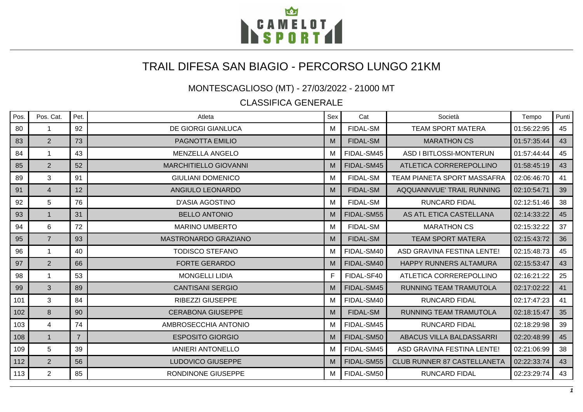

## TRAIL DIFESA SAN BIAGIO - PERCORSO LUNGO 21KM

MONTESCAGLIOSO (MT) - 27/03/2022 - 21000 MT

CLASSIFICA GENERALE

| Pos. | Pos. Cat.      | Pet.           | Atleta                       | Sex | Cat             | Società                            | Tempo       | Punti |
|------|----------------|----------------|------------------------------|-----|-----------------|------------------------------------|-------------|-------|
| 80   | -1             | 92             | <b>DE GIORGI GIANLUCA</b>    | м   | <b>FIDAL-SM</b> | <b>TEAM SPORT MATERA</b>           | 01:56:22:95 | 45    |
| 83   | $\overline{2}$ | 73             | PAGNOTTA EMILIO              | M   | <b>FIDAL-SM</b> | <b>MARATHON CS</b>                 | 01:57:35:44 | 43    |
| 84   |                | 43             | MENZELLA ANGELO              | м   | FIDAL-SM45      | ASD I BITLOSSI-MONTERUN            | 01:57:44:44 | 45    |
| 85   | $\overline{2}$ | 52             | <b>MARCHITIELLO GIOVANNI</b> | M   | FIDAL-SM45      | ATLETICA CORREREPOLLINO            | 01:58:45:19 | 43    |
| 89   | 3              | 91             | <b>GIULIANI DOMENICO</b>     | м   | <b>FIDAL-SM</b> | <b>TEAM PIANETA SPORT MASSAFRA</b> | 02:06:46:70 | 41    |
| 91   | $\overline{4}$ | 12             | ANGIULO LEONARDO             | M   | <b>FIDAL-SM</b> | AQQUANNVUE' TRAIL RUNNING          | 02:10:54:71 | 39    |
| 92   | 5              | 76             | <b>D'ASIA AGOSTINO</b>       | м   | <b>FIDAL-SM</b> | <b>RUNCARD FIDAL</b>               | 02:12:51:46 | 38    |
| 93   | $\mathbf{1}$   | 31             | <b>BELLO ANTONIO</b>         | M   | FIDAL-SM55      | AS ATL ETICA CASTELLANA            | 02:14:33:22 | 45    |
| 94   | 6              | 72             | <b>MARINO UMBERTO</b>        | M   | <b>FIDAL-SM</b> | <b>MARATHON CS</b>                 | 02:15:32:22 | 37    |
| 95   | $\overline{7}$ | 93             | <b>MASTRONARDO GRAZIANO</b>  | M   | <b>FIDAL-SM</b> | <b>TEAM SPORT MATERA</b>           | 02:15:43:72 | 36    |
| 96   | 1              | 40             | <b>TODISCO STEFANO</b>       | м   | FIDAL-SM40      | ASD GRAVINA FESTINA LENTE!         | 02:15:48:73 | 45    |
| 97   | $\overline{2}$ | 66             | <b>FORTE GERARDO</b>         | M   | FIDAL-SM40      | HAPPY RUNNERS ALTAMURA             | 02:15:53:47 | 43    |
| 98   | -1             | 53             | <b>MONGELLI LIDIA</b>        | F.  | FIDAL-SF40      | ATLETICA CORREREPOLLINO            | 02:16:21:22 | 25    |
| 99   | 3              | 89             | <b>CANTISANI SERGIO</b>      | M   | FIDAL-SM45      | RUNNING TEAM TRAMUTOLA             | 02:17:02:22 | 41    |
| 101  | 3              | 84             | <b>RIBEZZI GIUSEPPE</b>      | M   | FIDAL-SM40      | <b>RUNCARD FIDAL</b>               | 02:17:47:23 | 41    |
| 102  | 8              | 90             | <b>CERABONA GIUSEPPE</b>     | M   | <b>FIDAL-SM</b> | RUNNING TEAM TRAMUTOLA             | 02:18:15:47 | 35    |
| 103  | 4              | 74             | AMBROSECCHIA ANTONIO         | м   | FIDAL-SM45      | <b>RUNCARD FIDAL</b>               | 02:18:29:98 | 39    |
| 108  | $\mathbf{1}$   | $\overline{7}$ | <b>ESPOSITO GIORGIO</b>      | M   | FIDAL-SM50      | ABACUS VILLA BALDASSARRI           | 02:20:48:99 | 45    |
| 109  | 5              | 39             | <b>IANIERI ANTONELLO</b>     | M   | FIDAL-SM45      | ASD GRAVINA FESTINA LENTE!         | 02:21:06:99 | 38    |
| 112  | $\overline{2}$ | 56             | LUDOVICO GIUSEPPE            | M   | FIDAL-SM55      | <b>CLUB RUNNER 87 CASTELLANETA</b> | 02:22:33:74 | 43    |
| 113  | $\overline{2}$ | 85             | RONDINONE GIUSEPPE           | м   | FIDAL-SM50      | <b>RUNCARD FIDAL</b>               | 02:23:29:74 | 43    |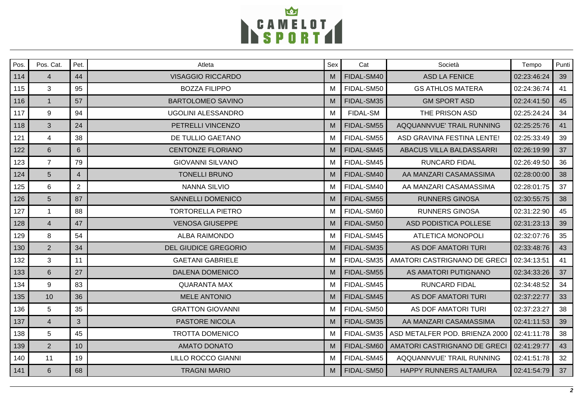

| Pos. | Pos. Cat.      | Pet.           | Atleta                      | Sex | Cat             | Società                        | Tempo       | Punti |
|------|----------------|----------------|-----------------------------|-----|-----------------|--------------------------------|-------------|-------|
| 114  | $\overline{4}$ | 44             | <b>VISAGGIO RICCARDO</b>    | M   | FIDAL-SM40      | <b>ASD LA FENICE</b>           | 02:23:46:24 | 39    |
| 115  | 3              | 95             | <b>BOZZA FILIPPO</b>        | м   | FIDAL-SM50      | <b>GS ATHLOS MATERA</b>        | 02:24:36:74 | 41    |
| 116  | $\mathbf{1}$   | 57             | <b>BARTOLOMEO SAVINO</b>    | M   | FIDAL-SM35      | <b>GM SPORT ASD</b>            | 02:24:41:50 | 45    |
| 117  | 9              | 94             | <b>UGOLINI ALESSANDRO</b>   | M   | <b>FIDAL-SM</b> | THE PRISON ASD                 | 02:25:24:24 | 34    |
| 118  | 3              | 24             | PETRELLI VINCENZO           | M   | FIDAL-SM55      | AQQUANNVUE' TRAIL RUNNING      | 02:25:25:76 | 41    |
| 121  | 4              | 38             | DE TULLIO GAETANO           | M   | FIDAL-SM55      | ASD GRAVINA FESTINA LENTE!     | 02:25:33:49 | 39    |
| 122  | $6\phantom{1}$ | 6              | <b>CENTONZE FLORIANO</b>    | M   | FIDAL-SM45      | ABACUS VILLA BALDASSARRI       | 02:26:19:99 | 37    |
| 123  | $\overline{7}$ | 79             | <b>GIOVANNI SILVANO</b>     | м   | FIDAL-SM45      | <b>RUNCARD FIDAL</b>           | 02:26:49:50 | 36    |
| 124  | $5\phantom{.}$ | $\overline{4}$ | <b>TONELLI BRUNO</b>        | M   | FIDAL-SM40      | AA MANZARI CASAMASSIMA         | 02:28:00:00 | 38    |
| 125  | 6              | $\overline{2}$ | <b>NANNA SILVIO</b>         | м   | FIDAL-SM40      | AA MANZARI CASAMASSIMA         | 02:28:01:75 | 37    |
| 126  | $5\phantom{1}$ | 87             | <b>SANNELLI DOMENICO</b>    | M   | FIDAL-SM55      | <b>RUNNERS GINOSA</b>          | 02:30:55:75 | 38    |
| 127  |                | 88             | <b>TORTORELLA PIETRO</b>    | м   | FIDAL-SM60      | <b>RUNNERS GINOSA</b>          | 02:31:22:90 | 45    |
| 128  | $\overline{4}$ | 47             | <b>VENOSA GIUSEPPE</b>      | M   | FIDAL-SM50      | ASD PODISTICA POLLESE          | 02:31:23:13 | 39    |
| 129  | 8              | 54             | <b>ALBA RAIMONDO</b>        | M   | FIDAL-SM45      | <b>ATLETICA MONOPOLI</b>       | 02:32:07:76 | 35    |
| 130  | 2              | 34             | <b>DEL GIUDICE GREGORIO</b> | M   | FIDAL-SM35      | AS DOF AMATORI TURI            | 02:33:48:76 | 43    |
| 132  | 3              | 11             | <b>GAETANI GABRIELE</b>     | м   | FIDAL-SM35      | AMATORI CASTRIGNANO DE GRECI   | 02:34:13:51 | 41    |
| 133  | 6              | 27             | <b>DALENA DOMENICO</b>      | M   | FIDAL-SM55      | AS AMATORI PUTIGNANO           | 02:34:33:26 | 37    |
| 134  | 9              | 83             | <b>QUARANTA MAX</b>         | M   | FIDAL-SM45      | <b>RUNCARD FIDAL</b>           | 02:34:48:52 | 34    |
| 135  | 10             | 36             | <b>MELE ANTONIO</b>         | M   | FIDAL-SM45      | <b>AS DOF AMATORI TURI</b>     | 02:37:22:77 | 33    |
| 136  | 5              | 35             | <b>GRATTON GIOVANNI</b>     | M   | FIDAL-SM50      | AS DOF AMATORI TURI            | 02:37:23:27 | 38    |
| 137  | $\overline{4}$ | 3              | <b>PASTORE NICOLA</b>       | M   | FIDAL-SM35      | AA MANZARI CASAMASSIMA         | 02:41:11:53 | 39    |
| 138  | 5              | 45             | <b>TROTTA DOMENICO</b>      | M   | FIDAL-SM35      | ASD METALFER POD. BRIENZA 2000 | 02:41:11:78 | 38    |
| 139  | 2              | 10             | <b>AMATO DONATO</b>         | M   | FIDAL-SM60      | AMATORI CASTRIGNANO DE GRECI   | 02:41:29:77 | 43    |
| 140  | 11             | 19             | LILLO ROCCO GIANNI          | м   | FIDAL-SM45      | AQQUANNVUE' TRAIL RUNNING      | 02:41:51:78 | 32    |
| 141  | 6              | 68             | <b>TRAGNI MARIO</b>         | М   | FIDAL-SM50      | HAPPY RUNNERS ALTAMURA         | 02:41:54:79 | 37    |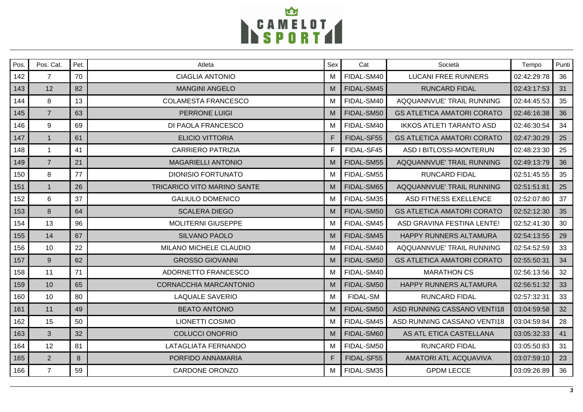

| Pos. | Pos. Cat.      | Pet. | Atleta                             | Sex | Cat             | Società                           | Tempo       | Punti |
|------|----------------|------|------------------------------------|-----|-----------------|-----------------------------------|-------------|-------|
| 142  | $\overline{7}$ | 70   | <b>CIAGLIA ANTONIO</b>             | M   | FIDAL-SM40      | <b>LUCANI FREE RUNNERS</b>        | 02:42:29:78 | 36    |
| 143  | 12             | 82   | <b>MANGINI ANGELO</b>              | M   | FIDAL-SM45      | <b>RUNCARD FIDAL</b>              | 02:43:17:53 | 31    |
| 144  | 8              | 13   | <b>COLAMESTA FRANCESCO</b>         | м   | FIDAL-SM40      | AQQUANNVUE' TRAIL RUNNING         | 02:44:45:53 | 35    |
| 145  | $\overline{7}$ | 63   | <b>PERRONE LUIGI</b>               | M   | FIDAL-SM50      | <b>GS ATLETICA AMATORI CORATO</b> | 02:46:16:38 | 36    |
| 146  | 9              | 69   | DI PAOLA FRANCESCO                 | M   | FIDAL-SM40      | <b>IKKOS ATLETI TARANTO ASD</b>   | 02:46:30:54 | 34    |
| 147  | $\mathbf{1}$   | 61   | <b>ELICIO VITTORIA</b>             | F.  | FIDAL-SF55      | <b>GS ATLETICA AMATORI CORATO</b> | 02:47:30:29 | 25    |
| 148  | $\mathbf{1}$   | 41   | <b>CARRIERO PATRIZIA</b>           | F.  | FIDAL-SF45      | ASD I BITLOSSI-MONTERUN           | 02:48:23:30 | 25    |
| 149  | $\overline{7}$ | 21   | <b>MAGARIELLI ANTONIO</b>          | M   | FIDAL-SM55      | AQQUANNVUE' TRAIL RUNNING         | 02:49:13:79 | 36    |
| 150  | 8              | 77   | <b>DIONISIO FORTUNATO</b>          | M   | FIDAL-SM55      | <b>RUNCARD FIDAL</b>              | 02:51:45:55 | 35    |
| 151  | $\mathbf{1}$   | 26   | <b>TRICARICO VITO MARINO SANTE</b> | M   | FIDAL-SM65      | AQQUANNVUE' TRAIL RUNNING         | 02:51:51:81 | 25    |
| 152  | 6              | 37   | <b>GALIULO DOMENICO</b>            | M   | FIDAL-SM35      | ASD FITNESS EXELLENCE             | 02:52:07:80 | 37    |
| 153  | 8              | 64   | <b>SCALERA DIEGO</b>               | M   | FIDAL-SM50      | <b>GS ATLETICA AMATORI CORATO</b> | 02:52:12:30 | 35    |
| 154  | 13             | 96   | <b>MOLITERNI GIUSEPPE</b>          | м   | FIDAL-SM45      | ASD GRAVINA FESTINA LENTE!        | 02:52:41:30 | 30    |
| 155  | 14             | 67   | SILVANO PAOLO                      | M   | FIDAL-SM45      | <b>HAPPY RUNNERS ALTAMURA</b>     | 02:54:13:55 | 29    |
| 156  | 10             | 22   | MILANO MICHELE CLAUDIO             | М   | FIDAL-SM40      | AQQUANNVUE' TRAIL RUNNING         | 02:54:52:59 | 33    |
| 157  | 9              | 62   | <b>GROSSO GIOVANNI</b>             | M   | FIDAL-SM50      | <b>GS ATLETICA AMATORI CORATO</b> | 02:55:50:31 | 34    |
| 158  | 11             | 71   | ADORNETTO FRANCESCO                | м   | FIDAL-SM40      | <b>MARATHON CS</b>                | 02:56:13:56 | 32    |
| 159  | 10             | 65   | <b>CORNACCHIA MARCANTONIO</b>      | M   | FIDAL-SM50      | HAPPY RUNNERS ALTAMURA            | 02:56:51:32 | 33    |
| 160  | 10             | 80   | <b>LAQUALE SAVERIO</b>             | M   | <b>FIDAL-SM</b> | <b>RUNCARD FIDAL</b>              | 02:57:32:31 | 33    |
| 161  | 11             | 49   | <b>BEATO ANTONIO</b>               | M   | FIDAL-SM50      | ASD RUNNING CASSANO VENTI18       | 03:04:59:58 | 32    |
| 162  | 15             | 50   | <b>LIONETTI COSIMO</b>             | M   | FIDAL-SM45      | ASD RUNNING CASSANO VENTI18       | 03:04:59:84 | 28    |
| 163  | 3              | 32   | <b>COLUCCI ONOFRIO</b>             | M   | FIDAL-SM60      | AS ATL ETICA CASTELLANA           | 03:05:32:33 | 41    |
| 164  | 12             | 81   | <b>LATAGLIATA FERNANDO</b>         | M   | FIDAL-SM50      | <b>RUNCARD FIDAL</b>              | 03:05:50:83 | 31    |
| 165  | $\overline{2}$ | 8    | PORFIDO ANNAMARIA                  | F.  | FIDAL-SF55      | <b>AMATORI ATL ACQUAVIVA</b>      | 03:07:59:10 | 23    |
| 166  | $\overline{7}$ | 59   | CARDONE ORONZO                     | M   | FIDAL-SM35      | <b>GPDM LECCE</b>                 | 03:09:26:89 | 36    |